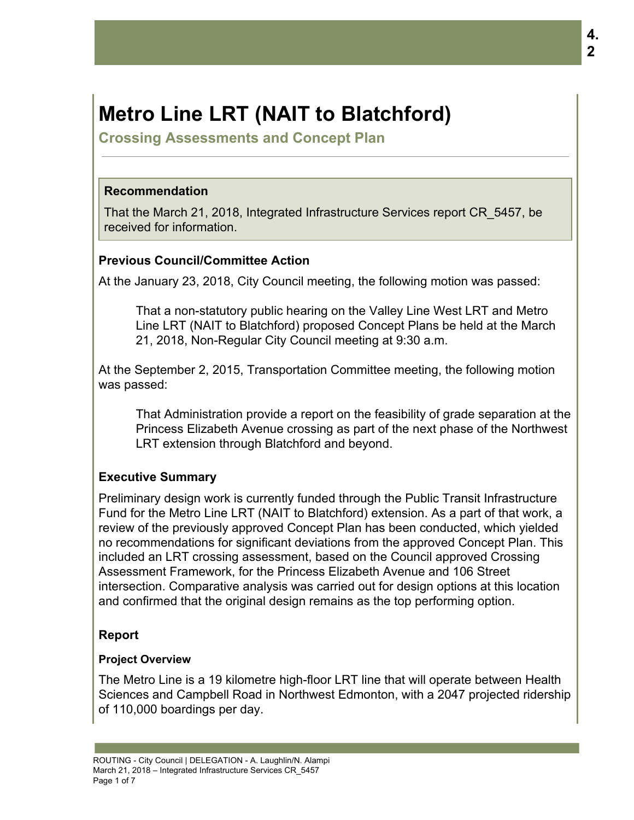# **Metro Line LRT (NAIT to Blatchford)**

**Crossing Assessments and Concept Plan**

### **Recommendation**

That the March 21, 2018, Integrated Infrastructure Services report CR\_5457, be received for information.

## **Previous Council/Committee Action**

At the January 23, 2018, City Council meeting, the following motion was passed:

That a non-statutory public hearing on the Valley Line West LRT and Metro Line LRT (NAIT to Blatchford) proposed Concept Plans be held at the March 21, 2018, Non-Regular City Council meeting at 9:30 a.m.

At the September 2, 2015, Transportation Committee meeting, the following motion was passed:

That Administration provide a report on the feasibility of grade separation at the Princess Elizabeth Avenue crossing as part of the next phase of the Northwest LRT extension through Blatchford and beyond.

## **Executive Summary**

Preliminary design work is currently funded through the Public Transit Infrastructure Fund for the Metro Line LRT (NAIT to Blatchford) extension. As a part of that work, a review of the previously approved Concept Plan has been conducted, which yielded no recommendations for significant deviations from the approved Concept Plan. This included an LRT crossing assessment, based on the Council approved Crossing Assessment Framework, for the Princess Elizabeth Avenue and 106 Street intersection. Comparative analysis was carried out for design options at this location and confirmed that the original design remains as the top performing option.

## **Report**

#### **Project Overview**

The Metro Line is a 19 kilometre high-floor LRT line that will operate between Health Sciences and Campbell Road in Northwest Edmonton, with a 2047 projected ridership of 110,000 boardings per day.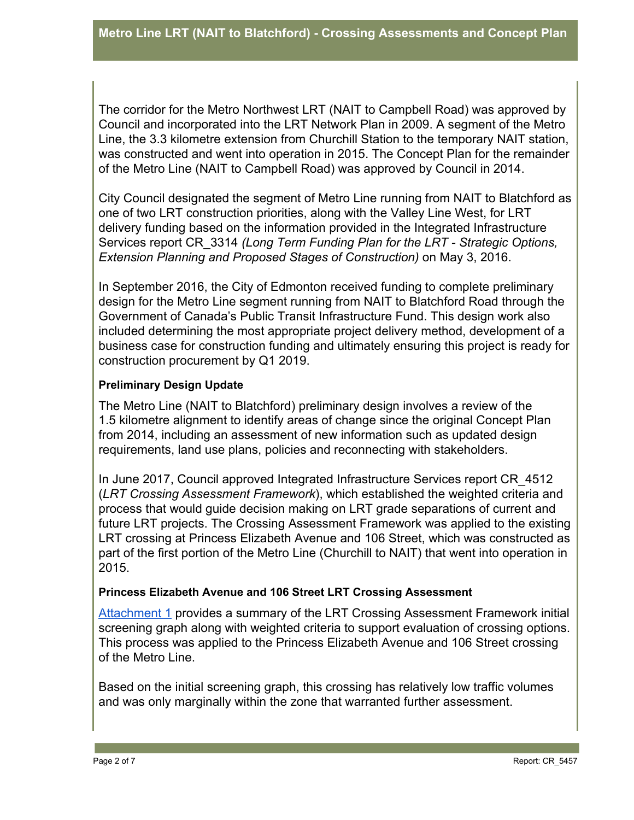The corridor for the Metro Northwest LRT (NAIT to Campbell Road) was approved by Council and incorporated into the LRT Network Plan in 2009. A segment of the Metro Line, the 3.3 kilometre extension from Churchill Station to the temporary NAIT station, was constructed and went into operation in 2015. The Concept Plan for the remainder of the Metro Line (NAIT to Campbell Road) was approved by Council in 2014.

City Council designated the segment of Metro Line running from NAIT to Blatchford as one of two LRT construction priorities, along with the Valley Line West, for LRT delivery funding based on the information provided in the Integrated Infrastructure Services report CR\_3314 *(Long Term Funding Plan for the LRT - Strategic Options, Extension Planning and Proposed Stages of Construction)* on May 3, 2016.

In September 2016, the City of Edmonton received funding to complete preliminary design for the Metro Line segment running from NAIT to Blatchford Road through the Government of Canada's Public Transit Infrastructure Fund. This design work also included determining the most appropriate project delivery method, development of a business case for construction funding and ultimately ensuring this project is ready for construction procurement by Q1 2019.

#### **Preliminary Design Update**

The Metro Line (NAIT to Blatchford) preliminary design involves a review of the 1.5 kilometre alignment to identify areas of change since the original Concept Plan from 2014, including an assessment of new information such as updated design requirements, land use plans, policies and reconnecting with stakeholders.

In June 2017, Council approved Integrated Infrastructure Services report CR\_4512 (*LRT Crossing Assessment Framework*), which established the weighted criteria and process that would guide decision making on LRT grade separations of current and future LRT projects. The Crossing Assessment Framework was applied to the existing LRT crossing at Princess Elizabeth Avenue and 106 Street, which was constructed as part of the first portion of the Metro Line (Churchill to NAIT) that went into operation in 2015.

#### **Princess Elizabeth Avenue and 106 Street LRT Crossing Assessment**

[Attachment 1](https://docs.google.com/document/d/1OduZSEYGEC2_Als46S9j5JOqCpn72NjEa-cHqo9M7Y8/edit?usp=sharing) provides a summary of the LRT Crossing Assessment Framework initial screening graph along with weighted criteria to support evaluation of crossing options. This process was applied to the Princess Elizabeth Avenue and 106 Street crossing of the Metro Line.

Based on the initial screening graph, this crossing has relatively low traffic volumes and was only marginally within the zone that warranted further assessment.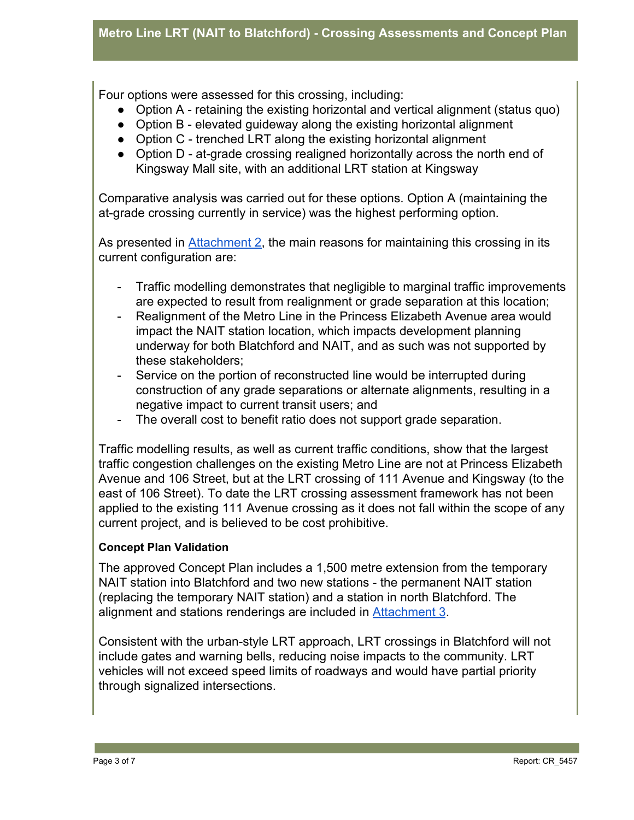Four options were assessed for this crossing, including:

- Option A retaining the existing horizontal and vertical alignment (status quo)
- Option B elevated guideway along the existing horizontal alignment
- Option C trenched LRT along the existing horizontal alignment
- Option D at-grade crossing realigned horizontally across the north end of Kingsway Mall site, with an additional LRT station at Kingsway

Comparative analysis was carried out for these options. Option A (maintaining the at-grade crossing currently in service) was the highest performing option.

As presented in [Attachment 2,](https://docs.google.com/document/d/1vcOCIiSE-eWxbGZL4MQrT4_ISHD8memwuUAEKcMp44w/edit?usp=sharing) the main reasons for maintaining this crossing in its current configuration are:

- Traffic modelling demonstrates that negligible to marginal traffic improvements are expected to result from realignment or grade separation at this location;
- Realignment of the Metro Line in the Princess Elizabeth Avenue area would impact the NAIT station location, which impacts development planning underway for both Blatchford and NAIT, and as such was not supported by these stakeholders;
- Service on the portion of reconstructed line would be interrupted during construction of any grade separations or alternate alignments, resulting in a negative impact to current transit users; and
- The overall cost to benefit ratio does not support grade separation.

Traffic modelling results, as well as current traffic conditions, show that the largest traffic congestion challenges on the existing Metro Line are not at Princess Elizabeth Avenue and 106 Street, but at the LRT crossing of 111 Avenue and Kingsway (to the east of 106 Street). To date the LRT crossing assessment framework has not been applied to the existing 111 Avenue crossing as it does not fall within the scope of any current project, and is believed to be cost prohibitive.

#### **Concept Plan Validation**

The approved Concept Plan includes a 1,500 metre extension from the temporary NAIT station into Blatchford and two new stations - the permanent NAIT station (replacing the temporary NAIT station) and a station in north Blatchford. The alignment and stations renderings are included in [Attachment 3](https://docs.google.com/document/d/152D9IkEl_NFh9U8abBR2yb7cx11V546VSDvnwgLlZ4c/edit?usp=sharing).

Consistent with the urban-style LRT approach, LRT crossings in Blatchford will not include gates and warning bells, reducing noise impacts to the community. LRT vehicles will not exceed speed limits of roadways and would have partial priority through signalized intersections.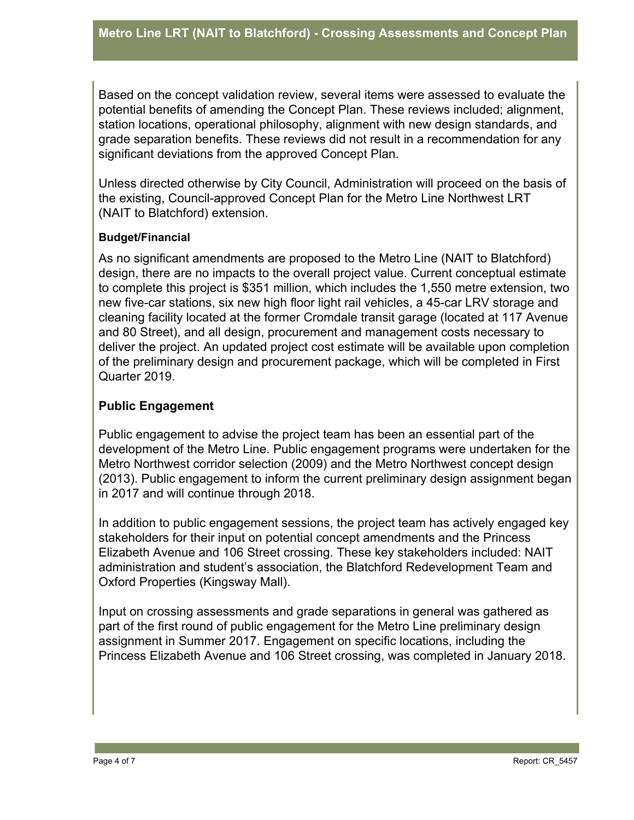Based on the concept validation review, several items were assessed to evaluate the potential benefits of amending the Concept Plan. These reviews included; alignment, station locations, operational philosophy, alignment with new design standards, and grade separation benefits. These reviews did not result in a recommendation for any significant deviations from the approved Concept Plan.

Unless directed otherwise by City Council, Administration will proceed on the basis of the existing, Council-approved Concept Plan for the Metro Line Northwest LRT (NAIT to Blatchford) extension.

#### **Budget/Financial**

As no significant amendments are proposed to the Metro Line (NAIT to Blatchford) design, there are no impacts to the overall project value. Current conceptual estimate to complete this project is \$351 million, which includes the 1,550 metre extension, two new five-car stations, six new high floor light rail vehicles, a 45-car LRV storage and cleaning facility located at the former Cromdale transit garage (located at 117 Avenue and 80 Street), and all design, procurement and management costs necessary to deliver the project. An updated project cost estimate will be available upon completion of the preliminary design and procurement package, which will be completed in First Quarter 2019.

## **Public Engagement**

Public engagement to advise the project team has been an essential part of the development of the Metro Line. Public engagement programs were undertaken for the Metro Northwest corridor selection (2009) and the Metro Northwest concept design (2013). Public engagement to inform the current preliminary design assignment began in 2017 and will continue through 2018.

In addition to public engagement sessions, the project team has actively engaged key stakeholders for their input on potential concept amendments and the Princess Elizabeth Avenue and 106 Street crossing. These key stakeholders included: NAIT administration and student's association, the Blatchford Redevelopment Team and Oxford Properties (Kingsway Mall).

Input on crossing assessments and grade separations in general was gathered as part of the first round of public engagement for the Metro Line preliminary design assignment in Summer 2017. Engagement on specific locations, including the Princess Elizabeth Avenue and 106 Street crossing, was completed in January 2018.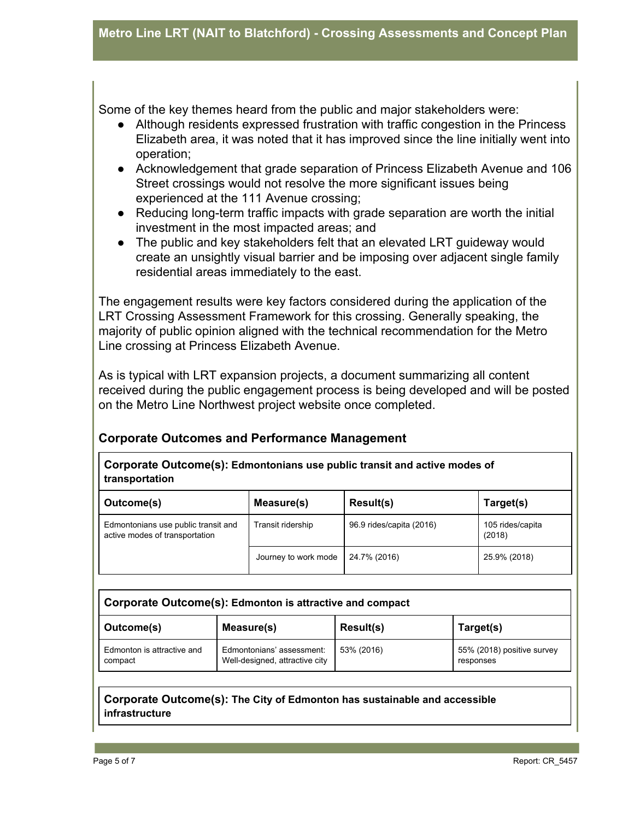Some of the key themes heard from the public and major stakeholders were:

- Although residents expressed frustration with traffic congestion in the Princess Elizabeth area, it was noted that it has improved since the line initially went into operation;
- Acknowledgement that grade separation of Princess Elizabeth Avenue and 106 Street crossings would not resolve the more significant issues being experienced at the 111 Avenue crossing;
- Reducing long-term traffic impacts with grade separation are worth the initial investment in the most impacted areas; and
- The public and key stakeholders felt that an elevated LRT guideway would create an unsightly visual barrier and be imposing over adjacent single family residential areas immediately to the east.

The engagement results were key factors considered during the application of the LRT Crossing Assessment Framework for this crossing. Generally speaking, the majority of public opinion aligned with the technical recommendation for the Metro Line crossing at Princess Elizabeth Avenue.

As is typical with LRT expansion projects, a document summarizing all content received during the public engagement process is being developed and will be posted on the Metro Line Northwest project website once completed.

## **Corporate Outcomes and Performance Management**

**Corporate Outcome(s): Edmontonians use public transit and active modes of transportation**

| Outcome(s)                                                            | Measure(s)           | <b>Result(s)</b>         | Target(s)                  |
|-----------------------------------------------------------------------|----------------------|--------------------------|----------------------------|
| Edmontonians use public transit and<br>active modes of transportation | Transit ridership    | 96.9 rides/capita (2016) | 105 rides/capita<br>(2018) |
|                                                                       | Journey to work mode | 24.7% (2016)             | 25.9% (2018)               |

| Corporate Outcome(s): Edmonton is attractive and compact |                                                             |                  |                                         |  |  |
|----------------------------------------------------------|-------------------------------------------------------------|------------------|-----------------------------------------|--|--|
| Outcome(s)                                               | Measure(s)                                                  | <b>Result(s)</b> | Target(s)                               |  |  |
| Edmonton is attractive and<br>compact                    | Edmontonians' assessment:<br>Well-designed, attractive city | 53% (2016)       | 55% (2018) positive survey<br>responses |  |  |

#### **Corporate Outcome(s): The City of Edmonton has sustainable and accessible infrastructure**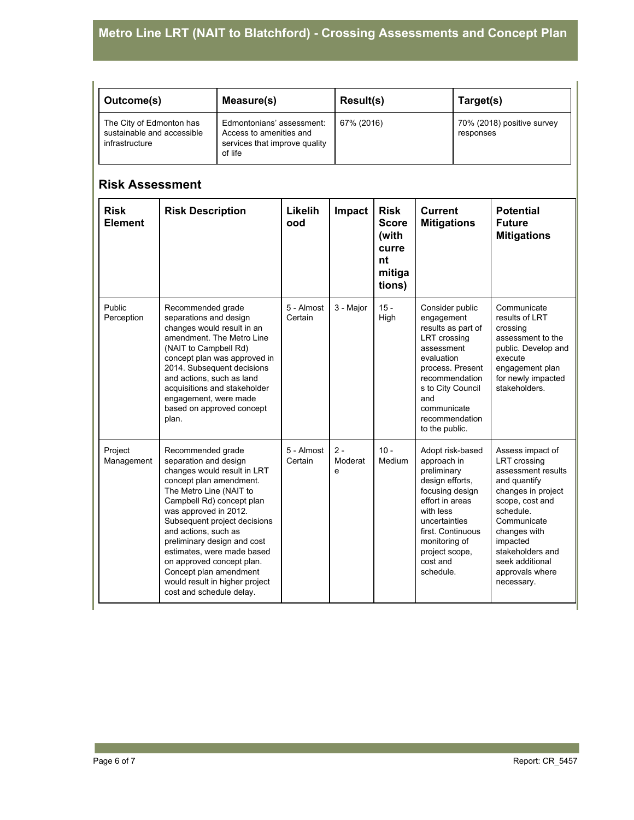| Outcome(s)                                                               | Measure(s)                                                                                       | <b>Result(s)</b> | Target(s)                               |
|--------------------------------------------------------------------------|--------------------------------------------------------------------------------------------------|------------------|-----------------------------------------|
| The City of Edmonton has<br>sustainable and accessible<br>infrastructure | Edmontonians' assessment:<br>Access to amenities and<br>services that improve quality<br>of life | 67% (2016)       | 70% (2018) positive survey<br>responses |

#### **Risk Assessment**

| <b>Risk</b><br><b>Element</b> | <b>Risk Description</b>                                                                                                                                                                                                                                                                                                                                                                                                         | Likelih<br>ood        | Impact                | <b>Risk</b><br><b>Score</b><br>(with<br>curre<br>nt<br>mitiga<br>tions) | <b>Current</b><br><b>Mitigations</b>                                                                                                                                                                                   | <b>Potential</b><br><b>Future</b><br><b>Mitigations</b>                                                                                                                                                                                                |
|-------------------------------|---------------------------------------------------------------------------------------------------------------------------------------------------------------------------------------------------------------------------------------------------------------------------------------------------------------------------------------------------------------------------------------------------------------------------------|-----------------------|-----------------------|-------------------------------------------------------------------------|------------------------------------------------------------------------------------------------------------------------------------------------------------------------------------------------------------------------|--------------------------------------------------------------------------------------------------------------------------------------------------------------------------------------------------------------------------------------------------------|
| Public<br>Perception          | Recommended grade<br>separations and design<br>changes would result in an<br>amendment. The Metro Line<br>(NAIT to Campbell Rd)<br>concept plan was approved in<br>2014. Subsequent decisions<br>and actions, such as land<br>acquisitions and stakeholder<br>engagement, were made<br>based on approved concept<br>plan.                                                                                                       | 5 - Almost<br>Certain | 3 - Major             | $15 -$<br>High                                                          | Consider public<br>engagement<br>results as part of<br>LRT crossing<br>assessment<br>evaluation<br>process. Present<br>recommendation<br>s to City Council<br>and<br>communicate<br>recommendation<br>to the public.   | Communicate<br>results of LRT<br>crossing<br>assessment to the<br>public. Develop and<br>execute<br>engagement plan<br>for newly impacted<br>stakeholders.                                                                                             |
| Project<br>Management         | Recommended grade<br>separation and design<br>changes would result in LRT<br>concept plan amendment.<br>The Metro Line (NAIT to<br>Campbell Rd) concept plan<br>was approved in 2012.<br>Subsequent project decisions<br>and actions, such as<br>preliminary design and cost<br>estimates, were made based<br>on approved concept plan.<br>Concept plan amendment<br>would result in higher project<br>cost and schedule delay. | 5 - Almost<br>Certain | $2 -$<br>Moderat<br>e | $10 -$<br>Medium                                                        | Adopt risk-based<br>approach in<br>preliminary<br>design efforts,<br>focusing design<br>effort in areas<br>with less<br>uncertainties<br>first. Continuous<br>monitoring of<br>project scope,<br>cost and<br>schedule. | Assess impact of<br><b>LRT</b> crossing<br>assessment results<br>and quantify<br>changes in project<br>scope, cost and<br>schedule.<br>Communicate<br>changes with<br>impacted<br>stakeholders and<br>seek additional<br>approvals where<br>necessary. |